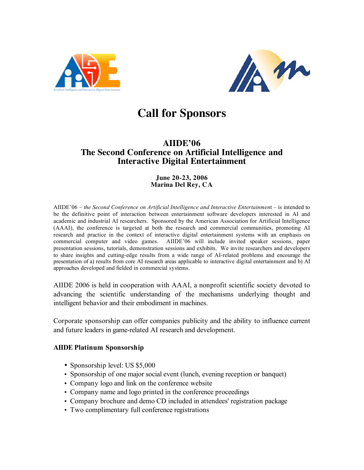



# **Call for Sponsors**

## **AIIDE'06 The Second Conference on Artificial Intelligence and Interactive Digital Entertainment**

#### **June 20-23, 2006 Marina Del Rey, CA**

AIIDE'06 – *the Second Conference on Artificial Intelligence and Interactive Entertainmen*t – is intended to be the definitive point of interaction between entertainment software developers interested in AI and academic and industrial AI researchers. Sponsored by the American Association for Artificial Intelligence (AAAI), the conference is targeted at both the research and commercial communities, promoting AI research and practice in the context of interactive digital entertainment systems with an emphasis on commercial computer and video games. AIIDE'06 will include invited speaker sessions, paper presentation sessions, tutorials, demonstration sessions and exhibits. We invite researchers and developers to share insights and cutting-edge results from a wide range of AI-related problems and encourage the presentation of a) results from core AI research areas applicable to interactive digital entertainment and b) AI approaches developed and fielded in commercial systems.

AIIDE 2006 is held in cooperation with AAAI, a nonprofit scientific society devoted to advancing the scientific understanding of the mechanisms underlying thought and intelligent behavior and their embodiment in machines.

Corporate sponsorship can offer companies publicity and the ability to influence current and future leaders in game-related AI research and development.

#### **AIIDE Platinum Sponsorship**

- Sponsorship level: US \$5,000
- Sponsorship of one major social event (lunch, evening reception or banquet)
- Company logo and link on the conference website
- Company name and logo printed in the conference proceedings
- Company brochure and demo CD included in attendees' registration package
- Two complimentary full conference registrations